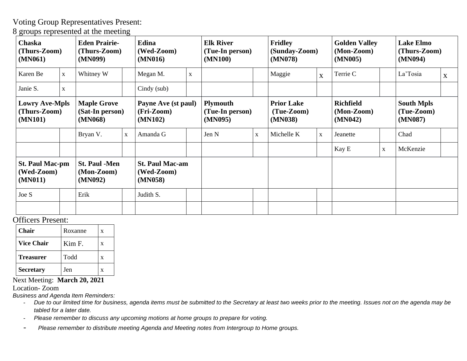Voting Group Representatives Present:

8 groups represented at the meeting

| Chaska<br>(Thurs-Zoom)<br>(MN061)                |             | <b>Eden Prairie-</b><br>(Thurs-Zoom)<br>(MN099)  |              | Edina<br>(Wed-Zoom)<br>(MN016)                  |             | <b>Elk River</b><br>(Tue-In person)<br>(MN100) |              | <b>Fridley</b><br>(Sunday-Zoom)<br>(MN078) |              | <b>Golden Valley</b><br>$(Mon-Zoom)$<br>(MN005) |              | <b>Lake Elmo</b><br>(Thurs-Zoom)<br>(MN094) |              |
|--------------------------------------------------|-------------|--------------------------------------------------|--------------|-------------------------------------------------|-------------|------------------------------------------------|--------------|--------------------------------------------|--------------|-------------------------------------------------|--------------|---------------------------------------------|--------------|
| Karen Be                                         | $\mathbf X$ | Whitney W                                        |              | Megan M.                                        | $\mathbf X$ |                                                |              | Maggie                                     | $\mathbf X$  | Terrie C                                        |              | La'Tosia                                    | $\mathbf{X}$ |
| Janie S.                                         | $\mathbf X$ |                                                  |              | $Cindy$ (sub)                                   |             |                                                |              |                                            |              |                                                 |              |                                             |              |
| <b>Lowry Ave-Mpls</b><br>(Thurs-Zoom)<br>(MN101) |             | <b>Maple Grove</b><br>(Sat-In person)<br>(MN068) |              | Payne Ave (st paul)<br>$(Fri-Zoom)$<br>(MN102)  |             | <b>Plymouth</b><br>(Tue-In person)<br>(MN095)  |              | <b>Prior Lake</b><br>(Tue-Zoom)<br>(MN038) |              | <b>Richfield</b><br>$(Mon-Zoom)$<br>(MN042)     |              | <b>South Mpls</b><br>(Tue-Zoom)<br>(MN087)  |              |
|                                                  |             | Bryan V.                                         | $\mathbf{X}$ | Amanda G                                        |             | Jen N                                          | $\mathbf{X}$ | Michelle K                                 | $\mathbf{X}$ | Jeanette                                        |              | Chad                                        |              |
|                                                  |             |                                                  |              |                                                 |             |                                                |              |                                            |              | Kay E                                           | $\mathbf{X}$ | McKenzie                                    |              |
| <b>St. Paul Mac-pm</b><br>(Wed-Zoom)<br>(MN011)  |             | <b>St. Paul -Men</b><br>$(Mon-Zoom)$<br>(MN092)  |              | <b>St. Paul Mac-am</b><br>(Wed-Zoom)<br>(MN058) |             |                                                |              |                                            |              |                                                 |              |                                             |              |
| Joe S                                            |             | Erik                                             |              | Judith S.                                       |             |                                                |              |                                            |              |                                                 |              |                                             |              |
|                                                  |             |                                                  |              |                                                 |             |                                                |              |                                            |              |                                                 |              |                                             |              |

## Officers Present:

| <b>Chair</b>      | Roxanne | x |
|-------------------|---------|---|
| <b>Vice Chair</b> | Kim F.  | x |
| <b>Treasurer</b>  | Todd    | x |
| <b>Secretary</b>  | Jen     |   |

## Next Meeting: **March 20, 2021**

Location- Zoom

*Business and Agenda Item Reminders:*

- Due to our limited time for business, agenda items must be submitted to the Secretary at least two weeks prior to the meeting. Issues not on the agenda may be *tabled for a later date.*
- *Please remember to discuss any upcoming motions at home groups to prepare for voting.*
- *Please remember to distribute meeting Agenda and Meeting notes from Intergroup to Home groups.*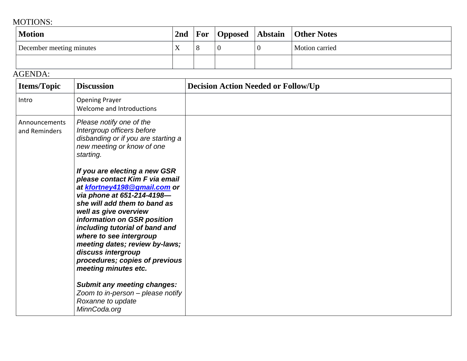## MOTIONS:

| <b>Motion</b>            | 2 <sub>nd</sub> |  | <b>For Opposed Abstain Other Notes</b> |
|--------------------------|-----------------|--|----------------------------------------|
| December meeting minutes |                 |  | Motion carried                         |
|                          |                 |  |                                        |

## AGENDA:

| <b>Items/Topic</b>             | <b>Discussion</b>                                                                                                                                                                                                                                                                                                                                                                                    | <b>Decision Action Needed or Follow/Up</b> |
|--------------------------------|------------------------------------------------------------------------------------------------------------------------------------------------------------------------------------------------------------------------------------------------------------------------------------------------------------------------------------------------------------------------------------------------------|--------------------------------------------|
| Intro                          | <b>Opening Prayer</b><br>Welcome and Introductions                                                                                                                                                                                                                                                                                                                                                   |                                            |
| Announcements<br>and Reminders | Please notify one of the<br>Intergroup officers before<br>disbanding or if you are starting a<br>new meeting or know of one<br>starting.                                                                                                                                                                                                                                                             |                                            |
|                                | If you are electing a new GSR<br>please contact Kim F via email<br>at kfortney4198@gmail.com or<br>via phone at 651-214-4198-<br>she will add them to band as<br>well as give overview<br>information on GSR position<br>including tutorial of band and<br>where to see intergroup<br>meeting dates; review by-laws;<br>discuss intergroup<br>procedures; copies of previous<br>meeting minutes etc. |                                            |
|                                | <b>Submit any meeting changes:</b><br>Zoom to in-person - please notify<br>Roxanne to update<br>MinnCoda.org                                                                                                                                                                                                                                                                                         |                                            |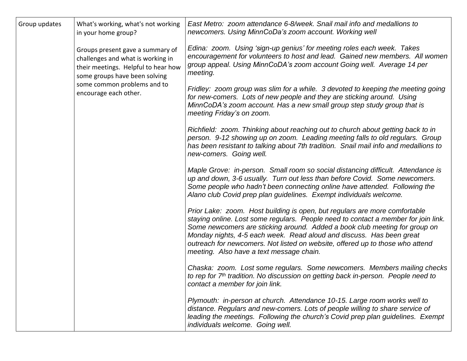| Group updates | What's working, what's not working<br>in your home group?                                                                                     | East Metro: zoom attendance 6-8/week. Snail mail info and medallions to<br>newcomers. Using MinnCoDa's zoom account. Working well                                                                                                                                                                                                                                                                                                                   |
|---------------|-----------------------------------------------------------------------------------------------------------------------------------------------|-----------------------------------------------------------------------------------------------------------------------------------------------------------------------------------------------------------------------------------------------------------------------------------------------------------------------------------------------------------------------------------------------------------------------------------------------------|
|               | Groups present gave a summary of<br>challenges and what is working in<br>their meetings. Helpful to hear how<br>some groups have been solving | Edina: zoom. Using 'sign-up genius' for meeting roles each week. Takes<br>encouragement for volunteers to host and lead. Gained new members. All women<br>group appeal. Using MinnCoDA's zoom account Going well. Average 14 per<br>meeting.                                                                                                                                                                                                        |
|               | some common problems and to<br>encourage each other.                                                                                          | Fridley: zoom group was slim for a while. 3 devoted to keeping the meeting going<br>for new-comers. Lots of new people and they are sticking around. Using<br>MinnCoDA's zoom account. Has a new small group step study group that is<br>meeting Friday's on zoom.                                                                                                                                                                                  |
|               |                                                                                                                                               | Richfield: zoom. Thinking about reaching out to church about getting back to in<br>person. 9-12 showing up on zoom. Leading meeting falls to old regulars. Group<br>has been resistant to talking about 7th tradition. Snail mail info and medallions to<br>new-comers. Going well.                                                                                                                                                                 |
|               |                                                                                                                                               | Maple Grove: in-person. Small room so social distancing difficult. Attendance is<br>up and down, 3-6 usually. Turn out less than before Covid. Some newcomers.<br>Some people who hadn't been connecting online have attended. Following the<br>Alano club Covid prep plan guidelines. Exempt individuals welcome.                                                                                                                                  |
|               |                                                                                                                                               | Prior Lake: zoom. Host building is open, but regulars are more comfortable<br>staying online. Lost some regulars. People need to contact a member for join link.<br>Some newcomers are sticking around. Added a book club meeting for group on<br>Monday nights, 4-5 each week. Read aloud and discuss. Has been great<br>outreach for newcomers. Not listed on website, offered up to those who attend<br>meeting. Also have a text message chain. |
|               |                                                                                                                                               | Chaska: zoom. Lost some regulars. Some newcomers. Members mailing checks<br>to rep for 7 <sup>th</sup> tradition. No discussion on getting back in-person. People need to<br>contact a member for join link.                                                                                                                                                                                                                                        |
|               |                                                                                                                                               | Plymouth: in-person at church. Attendance 10-15. Large room works well to<br>distance. Regulars and new-comers. Lots of people willing to share service of<br>leading the meetings. Following the church's Covid prep plan guidelines. Exempt<br>individuals welcome. Going well.                                                                                                                                                                   |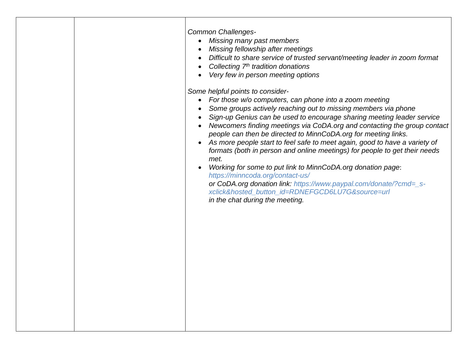|  | <b>Common Challenges-</b><br>Missing many past members<br>$\bullet$<br>Missing fellowship after meetings<br>Difficult to share service of trusted servant/meeting leader in zoom format<br>Collecting 7 <sup>th</sup> tradition donations<br>Very few in person meeting options<br>Some helpful points to consider-                                                                                                                                                                                                                                                                                                                                                                                                                                                                   |
|--|---------------------------------------------------------------------------------------------------------------------------------------------------------------------------------------------------------------------------------------------------------------------------------------------------------------------------------------------------------------------------------------------------------------------------------------------------------------------------------------------------------------------------------------------------------------------------------------------------------------------------------------------------------------------------------------------------------------------------------------------------------------------------------------|
|  | • For those w/o computers, can phone into a zoom meeting<br>Some groups actively reaching out to missing members via phone<br>Sign-up Genius can be used to encourage sharing meeting leader service<br>Newcomers finding meetings via CoDA.org and contacting the group contact<br>people can then be directed to MinnCoDA.org for meeting links.<br>As more people start to feel safe to meet again, good to have a variety of<br>formats (both in person and online meetings) for people to get their needs<br>met.<br>Working for some to put link to MinnCoDA.org donation page:<br>https://minncoda.org/contact-us/<br>or CoDA.org donation link: https://www.paypal.com/donate/?cmd=_s-<br>xclick&hosted_button_id=RDNEFGCD6LU7G&source=url<br>in the chat during the meeting. |
|  |                                                                                                                                                                                                                                                                                                                                                                                                                                                                                                                                                                                                                                                                                                                                                                                       |